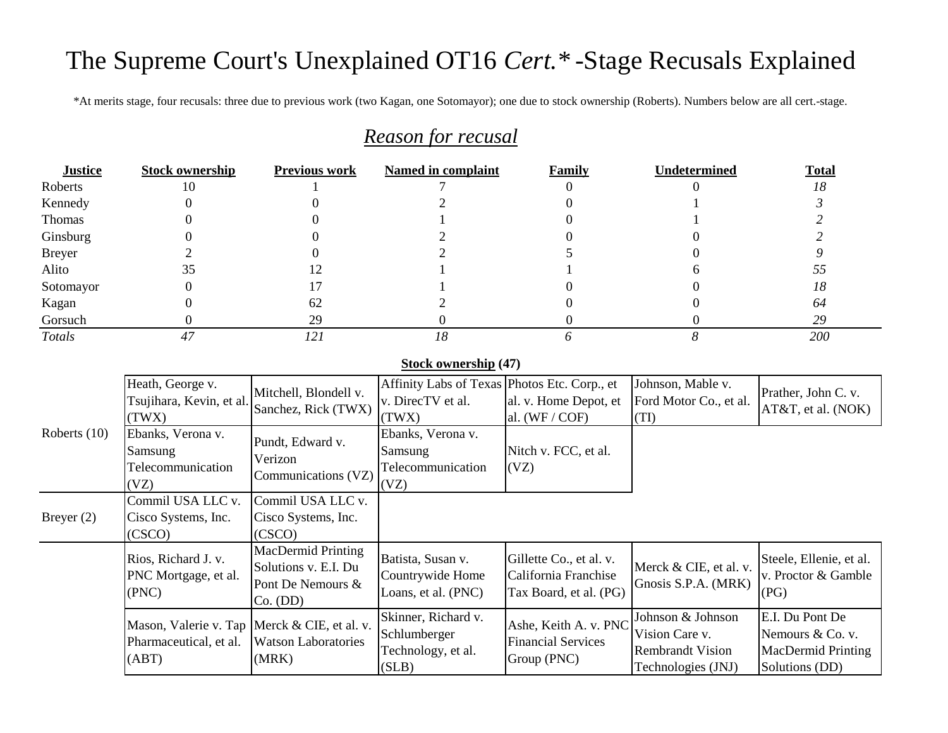# The Supreme Court's Unexplained OT16 *Cert.\** -Stage Recusals Explained

\*At merits stage, four recusals: three due to previous work (two Kagan, one Sotomayor); one due to stock ownership (Roberts). Numbers below are all cert.-stage.

## *Reason for recusal*

| <b>Justice</b> | <b>Stock ownership</b> | <b>Previous work</b> | Named in complaint | Family | Undetermined | <b>Total</b> |
|----------------|------------------------|----------------------|--------------------|--------|--------------|--------------|
| Roberts        | 10                     |                      |                    |        |              | 18           |
| Kennedy        |                        |                      |                    |        |              |              |
| Thomas         |                        |                      |                    |        |              |              |
| Ginsburg       |                        |                      |                    |        |              |              |
| <b>Breyer</b>  |                        |                      |                    |        |              |              |
| Alito          | JЈ                     |                      |                    |        |              |              |
| Sotomayor      |                        |                      |                    |        |              | 18           |
| Kagan          |                        | 62                   |                    |        |              | 64           |
| Gorsuch        |                        | 29                   |                    |        |              | 29           |
| Totals         |                        | 121                  |                    |        |              | 200          |

#### **Stock ownership (47)**

|                | Heath, George v.<br>Tsujihara, Kevin, et al.<br>(TWX)                             | Mitchell, Blondell v.<br>Sanchez, Rick (TWX)                                | Affinity Labs of Texas Photos Etc. Corp., et<br>v. DirecTV et al.<br>(TWX) | al. v. Home Depot, et<br>al. $(WF / COF)$                                 | Johnson, Mable v.<br>Ford Motor Co., et al.<br>(TI)                                  | Prather, John C. v.<br>$AT&T$ , et al. (NOK)                                |
|----------------|-----------------------------------------------------------------------------------|-----------------------------------------------------------------------------|----------------------------------------------------------------------------|---------------------------------------------------------------------------|--------------------------------------------------------------------------------------|-----------------------------------------------------------------------------|
| Roberts $(10)$ | Ebanks, Verona v.<br>Samsung<br>Telecommunication<br>(VZ)                         | Pundt, Edward v.<br>Verizon<br>Communications (VZ)                          | Ebanks, Verona v.<br>Samsung<br>Telecommunication<br>(VZ)                  | Nitch v. FCC, et al.<br>(VZ)                                              |                                                                                      |                                                                             |
| Breyer $(2)$   | Commil USA LLC v.<br>Cisco Systems, Inc.<br>(CSCO)                                | Commil USA LLC v.<br>Cisco Systems, Inc.<br>(CSCO)                          |                                                                            |                                                                           |                                                                                      |                                                                             |
|                | Rios, Richard J. v.<br>PNC Mortgage, et al.<br>(PNC)                              | MacDermid Printing<br>Solutions v. E.I. Du<br>Pont De Nemours &<br>Co. (DD) | Batista, Susan v.<br>Countrywide Home<br>Loans, et al. (PNC)               | Gillette Co., et al. v.<br>California Franchise<br>Tax Board, et al. (PG) | Merck & CIE, et al. v.<br>Gnosis S.P.A. (MRK)                                        | Steele, Ellenie, et al.<br>v. Proctor & Gamble<br>  (PG)                    |
|                | Mason, Valerie v. Tap   Merck & CIE, et al. v.<br>Pharmaceutical, et al.<br>(ABT) | <b>Watson Laboratories</b><br>(MRK)                                         | Skinner, Richard v.<br>Schlumberger<br>Technology, et al.<br>(SLB)         | Ashe, Keith A. v. PNC<br><b>Financial Services</b><br>Group (PNC)         | Johnson & Johnson<br>Vision Care v.<br><b>Rembrandt Vision</b><br>Technologies (JNJ) | E.I. Du Pont De<br>Nemours & Co. v.<br>MacDermid Printing<br>Solutions (DD) |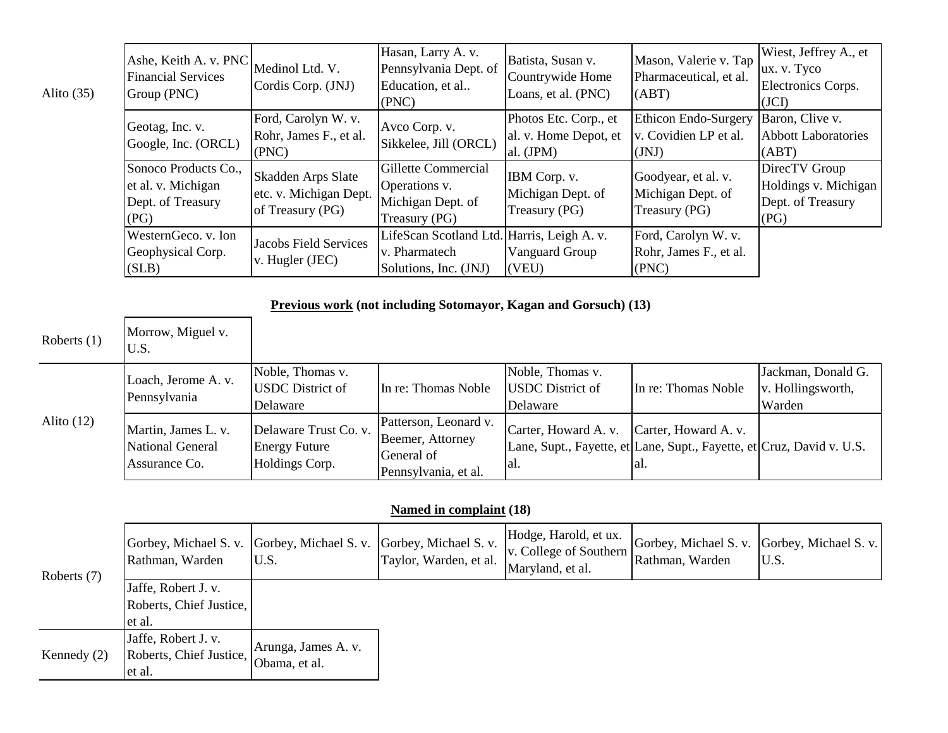| Alito $(35)$ | Ashe, Keith A. v. PNC<br><b>Financial Services</b><br>Group (PNC)       | Medinol Ltd. V.<br>Cordis Corp. (JNJ)                                   | Hasan, Larry A. v.<br>Pennsylvania Dept. of<br>Education, et al<br>(PNC)             | Batista, Susan v.<br>Countrywide Home<br>Loans, et al. (PNC) | Mason, Valerie v. Tap<br>Pharmaceutical, et al.<br>(ABT)  | Wiest, Jeffrey A., et<br>ux. v. Tyco<br>Electronics Corps.<br>(JCI)  |
|--------------|-------------------------------------------------------------------------|-------------------------------------------------------------------------|--------------------------------------------------------------------------------------|--------------------------------------------------------------|-----------------------------------------------------------|----------------------------------------------------------------------|
|              | Geotag, Inc. v.<br>Google, Inc. (ORCL)                                  | Ford, Carolyn W. v.<br>Rohr, James F., et al.<br>(PNC)                  | Avco Corp. v.<br>Sikkelee, Jill (ORCL)                                               | Photos Etc. Corp., et<br>al. v. Home Depot, et<br>al. (JPM)  | Ethicon Endo-Surgery<br>v. Covidien LP et al.<br>(JNJ)    | Baron, Clive v.<br><b>Abbott Laboratories</b><br>(ABT)               |
|              | Sonoco Products Co.,<br>et al. v. Michigan<br>Dept. of Treasury<br>(PG) | <b>Skadden Arps Slate</b><br>etc. v. Michigan Dept.<br>of Treasury (PG) | Gillette Commercial<br>Operations v.<br>Michigan Dept. of<br>Treasury (PG)           | IBM Corp. v.<br>Michigan Dept. of<br>Treasury (PG)           | Goodyear, et al. v.<br>Michigan Dept. of<br>Treasury (PG) | DirecTV Group<br>Holdings v. Michigan<br>Dept. of Treasury<br>  (PG) |
|              | WesternGeco. v. Ion<br>Geophysical Corp.<br>(SLB)                       | <b>Jacobs Field Services</b><br>v. Hugler (JEC)                         | LifeScan Scotland Ltd. Harris, Leigh A. v.<br>v. Pharmatech<br>Solutions, Inc. (JNJ) | Vanguard Group<br>(VEU)                                      | Ford, Carolyn W. v.<br>Rohr, James F., et al.<br>(PNC)    |                                                                      |

#### **Previous work (not including Sotomayor, Kagan and Gorsuch) (13)**

| Roberts $(1)$ | Morrow, Miguel v.<br>U.S.                                |                                                                 |                                                                                 |                                                         |                                                                                                       |                                                   |
|---------------|----------------------------------------------------------|-----------------------------------------------------------------|---------------------------------------------------------------------------------|---------------------------------------------------------|-------------------------------------------------------------------------------------------------------|---------------------------------------------------|
|               | Loach, Jerome A. v.<br>Pennsylvania                      | Noble, Thomas v.<br><b>USDC</b> District of<br>Delaware         | In re: Thomas Noble                                                             | Noble, Thomas v.<br><b>USDC</b> District of<br>Delaware | In re: Thomas Noble                                                                                   | Jackman, Donald G.<br>v. Hollingsworth,<br>Warden |
| Alito $(12)$  | Martin, James L. v.<br>National General<br>Assurance Co. | Delaware Trust Co. v.<br><b>Energy Future</b><br>Holdings Corp. | Patterson, Leonard v.<br>Beemer, Attorney<br>General of<br>Pennsylvania, et al. | Carter, Howard A. v.<br>lal.                            | Carter, Howard A. v.<br>Lane, Supt., Fayette, et Lane, Supt., Fayette, et Cruz, David v. U.S.<br>lal. |                                                   |

#### **Named in complaint (18)**

| Roberts (7)   | Gorbey, Michael S. v. Gorbey, Michael S. v. Gorbey, Michael S. v.<br>Rathman, Warden | U.S.                                 | Taylor, Warden, et al. | Hodge, Harold, et ux.<br>v. College of Southern<br>Maryland, et al. | Gorbey, Michael S. v. Gorbey, Michael S. v.<br>Rathman, Warden | U.S. |
|---------------|--------------------------------------------------------------------------------------|--------------------------------------|------------------------|---------------------------------------------------------------------|----------------------------------------------------------------|------|
|               | Jaffe, Robert J. v.<br>Roberts, Chief Justice,<br>let al.                            |                                      |                        |                                                                     |                                                                |      |
| Kennedy $(2)$ | Jaffe, Robert J. v.<br>Roberts, Chief Justice,<br>et al.                             | Arunga, James A. v.<br>Obama, et al. |                        |                                                                     |                                                                |      |